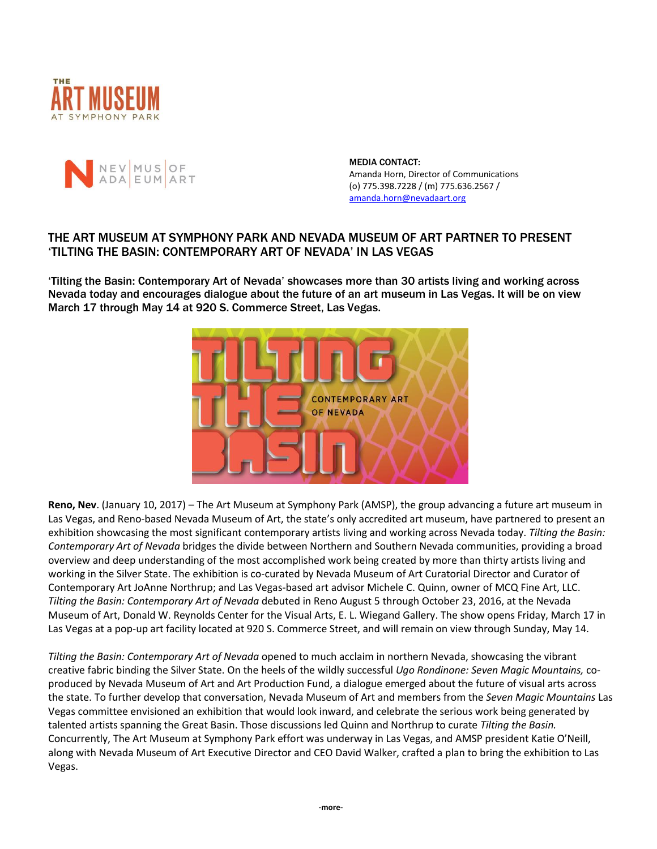



MEDIA CONTACT: Amanda Horn, Director of Communications (o) 775.398.7228 / (m) 775.636.2567 / [amanda.horn@nevadaart.org](mailto:amanda.horn@nevadaart.org)

## THE ART MUSEUM AT SYMPHONY PARK AND NEVADA MUSEUM OF ART PARTNER TO PRESENT 'TILTING THE BASIN: CONTEMPORARY ART OF NEVADA' IN LAS VEGAS

'Tilting the Basin: Contemporary Art of Nevada' showcases more than 30 artists living and working across Nevada today and encourages dialogue about the future of an art museum in Las Vegas. It will be on view March 17 through May 14 at 920 S. Commerce Street, Las Vegas.



**Reno, Nev**. (January 10, 2017) – The Art Museum at Symphony Park (AMSP), the group advancing a future art museum in Las Vegas, and Reno-based Nevada Museum of Art, the state's only accredited art museum, have partnered to present an exhibition showcasing the most significant contemporary artists living and working across Nevada today. *Tilting the Basin: Contemporary Art of Nevada* bridges the divide between Northern and Southern Nevada communities, providing a broad overview and deep understanding of the most accomplished work being created by more than thirty artists living and working in the Silver State. The exhibition is co-curated by Nevada Museum of Art Curatorial Director and Curator of Contemporary Art JoAnne Northrup; and Las Vegas-based art advisor Michele C. Quinn, owner of MCQ Fine Art, LLC. *Tilting the Basin: Contemporary Art of Nevada* debuted in Reno August 5 through October 23, 2016, at the Nevada Museum of Art, Donald W. Reynolds Center for the Visual Arts, E. L. Wiegand Gallery. The show opens Friday, March 17 in Las Vegas at a pop-up art facility located at 920 S. Commerce Street, and will remain on view through Sunday, May 14.

*Tilting the Basin: Contemporary Art of Nevada* opened to much acclaim in northern Nevada, showcasing the vibrant creative fabric binding the Silver State. On the heels of the wildly successful *Ugo Rondinone: Seven Magic Mountains,* coproduced by Nevada Museum of Art and Art Production Fund, a dialogue emerged about the future of visual arts across the state. To further develop that conversation, Nevada Museum of Art and members from the *Seven Magic Mountains* Las Vegas committee envisioned an exhibition that would look inward, and celebrate the serious work being generated by talented artists spanning the Great Basin. Those discussions led Quinn and Northrup to curate *Tilting the Basin.* Concurrently, The Art Museum at Symphony Park effort was underway in Las Vegas, and AMSP president Katie O'Neill, along with Nevada Museum of Art Executive Director and CEO David Walker, crafted a plan to bring the exhibition to Las Vegas.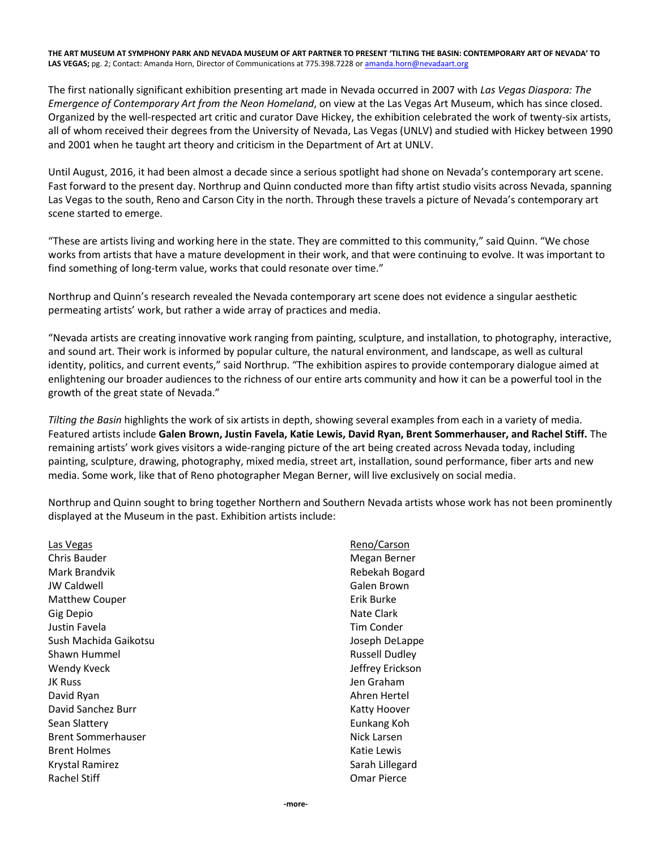**THE ART MUSEUM AT SYMPHONY PARK AND NEVADA MUSEUM OF ART PARTNER TO PRESENT 'TILTING THE BASIN: CONTEMPORARY ART OF NEVADA' TO**  LAS VEGAS; pg. 2; Contact: Amanda Horn, Director of Communications at 775.398.7228 o[r amanda.horn@nevadaart.org](amanda.horn@nevadaart.org)

The first nationally significant exhibition presenting art made in Nevada occurred in 2007 with *Las Vegas Diaspora: The Emergence of Contemporary Art from the Neon Homeland*, on view at the Las Vegas Art Museum, which has since closed. Organized by the well-respected art critic and curator Dave Hickey, the exhibition celebrated the work of twenty-six artists, all of whom received their degrees from the University of Nevada, Las Vegas (UNLV) and studied with Hickey between 1990 and 2001 when he taught art theory and criticism in the Department of Art at UNLV.

Until August, 2016, it had been almost a decade since a serious spotlight had shone on Nevada's contemporary art scene. Fast forward to the present day. Northrup and Quinn conducted more than fifty artist studio visits across Nevada, spanning Las Vegas to the south, Reno and Carson City in the north. Through these travels a picture of Nevada's contemporary art scene started to emerge.

"These are artists living and working here in the state. They are committed to this community," said Quinn. "We chose works from artists that have a mature development in their work, and that were continuing to evolve. It was important to find something of long-term value, works that could resonate over time."

Northrup and Quinn's research revealed the Nevada contemporary art scene does not evidence a singular aesthetic permeating artists' work, but rather a wide array of practices and media.

"Nevada artists are creating innovative work ranging from painting, sculpture, and installation, to photography, interactive, and sound art. Their work is informed by popular culture, the natural environment, and landscape, as well as cultural identity, politics, and current events," said Northrup. "The exhibition aspires to provide contemporary dialogue aimed at enlightening our broader audiences to the richness of our entire arts community and how it can be a powerful tool in the growth of the great state of Nevada."

*Tilting the Basin* highlights the work of six artists in depth, showing several examples from each in a variety of media. Featured artists include **Galen Brown, Justin Favela, Katie Lewis, David Ryan, Brent Sommerhauser, and Rachel Stiff.** The remaining artists' work gives visitors a wide-ranging picture of the art being created across Nevada today, including painting, sculpture, drawing, photography, mixed media, street art, installation, sound performance, fiber arts and new media. Some work, like that of Reno photographer Megan Berner, will live exclusively on social media.

Northrup and Quinn sought to bring together Northern and Southern Nevada artists whose work has not been prominently displayed at the Museum in the past. Exhibition artists include:

Las Vegas Chris Bauder Mark Brandvik JW Caldwell Matthew Couper Gig Depio Justin Favela Sush Machida Gaikotsu Shawn Hummel Wendy Kveck JK Russ David Ryan David Sanchez Burr Sean Slattery Brent Sommerhauser Brent Holmes Krystal Ramirez Rachel Stiff

Reno/Carson Megan Berner Rebekah Bogard Galen Brown Erik Burke Nate Clark Tim Conder Joseph DeLappe Russell Dudley Jeffrey Erickson Jen Graham Ahren Hertel Katty Hoover Eunkang Koh Nick Larsen Katie Lewis Sarah Lillegard Omar Pierce